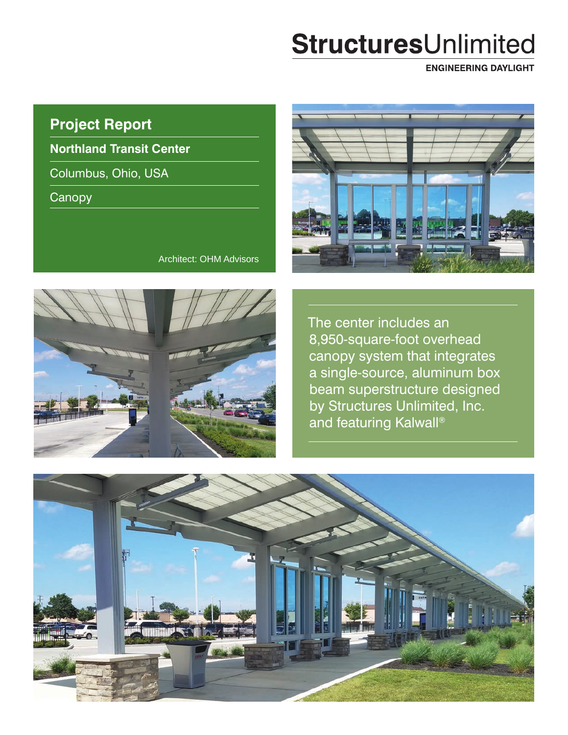# StructuresUnlimited

**ENGINEERING DAYLIGHT** 

## **Project Report**

**Northland Transit Center**

Columbus, Ohio, USA

**Canopy** 



Architect: OHM Advisors



The center includes an 8,950-square-foot overhead canopy system that integrates a single-source, aluminum box beam superstructure designed by Structures Unlimited, Inc. and featuring Kalwall®